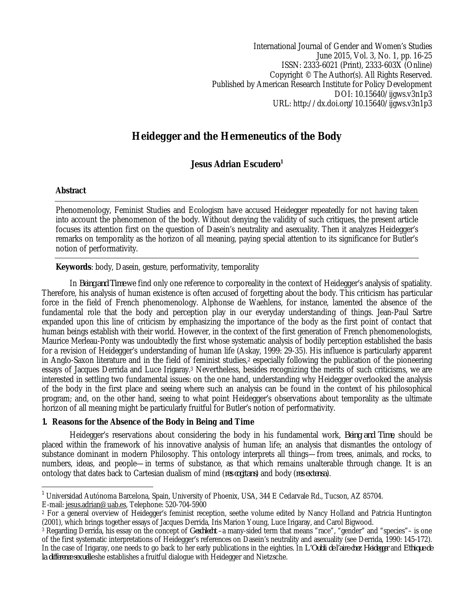International Journal of Gender and Women's Studies June 2015, Vol. 3, No. 1, pp. 16-25 ISSN: 2333-6021 (Print), 2333-603X (Online) Copyright © The Author(s). All Rights Reserved. Published by American Research Institute for Policy Development DOI: 10.15640/ijgws.v3n1p3 URL: http://dx.doi.org/10.15640/ijgws.v3n1p3

# **Heidegger and the Hermeneutics of the Body**

## **Jesus Adrian Escudero<sup>1</sup>**

## **Abstract**

Phenomenology, Feminist Studies and Ecologism have accused Heidegger repeatedly for not having taken into account the phenomenon of the body. Without denying the validity of such critiques, the present article focuses its attention first on the question of Dasein's neutrality and asexuality. Then it analyzes Heidegger's remarks on temporality as the horizon of all meaning, paying special attention to its significance for Butler's notion of performativity.

## **Keywords**: body, Dasein, gesture, performativity, temporality

In *Being and Time* we find only one reference to corporeality in the context of Heidegger's analysis of spatiality. Therefore, his analysis of human existence is often accused of forgetting about the body. This criticism has particular force in the field of French phenomenology. Alphonse de Waehlens, for instance, lamented the absence of the fundamental role that the body and perception play in our everyday understanding of things. Jean-Paul Sartre expanded upon this line of criticism by emphasizing the importance of the body as the first point of contact that human beings establish with their world. However, in the context of the first generation of French phenomenologists, Maurice Merleau-Ponty was undoubtedly the first whose systematic analysis of bodily perception established the basis for a revision of Heidegger's understanding of human life (Askay, 1999: 29-35). His influence is particularly apparent in Anglo-Saxon literature and in the field of feminist studies,<sup>2</sup> especially following the publication of the pioneering essays of Jacques Derrida and Luce Irigaray.<sup>3</sup> Nevertheless, besides recognizing the merits of such criticisms, we are interested in settling two fundamental issues: on the one hand, understanding why Heidegger overlooked the analysis of the body in the first place and seeing where such an analysis can be found in the context of his philosophical program; and, on the other hand, seeing to what point Heidegger's observations about temporality as the ultimate horizon of all meaning might be particularly fruitful for Butler's notion of performativity.

## **1. Reasons for the Absence of the Body in Being and Time**

Heidegger's reservations about considering the body in his fundamental work, *Being and Time*, should be placed within the framework of his innovative analysis of human life; an analysis that dismantles the ontology of substance dominant in modern Philosophy. This ontology interprets all things—from trees, animals, and rocks, to numbers, ideas, and people—in terms of substance, as that which remains unalterable through change. It is an ontology that dates back to Cartesian dualism of mind (*res cogitans*) and body (*res extensa*).

E-mail: jesus.adrian@uab.es, Telephone: 520-704-5900

 $\overline{\phantom{a}}$ <sup>1</sup> Universidad Autónoma Barcelona, Spain, University of Phoenix, USA, 344 E Cedarvale Rd., Tucson, AZ 85704.

<sup>2</sup> For a general overview of Heidegger's feminist reception, seethe volume edited by Nancy Holland and Patricia Huntington (2001), which brings together essays of Jacques Derrida, Iris Marion Young, Luce Irigaray, and Carol Bigwood.

<sup>3</sup> Regarding Derrida, his essay on the concept of *Geschlecht* –a many-sided term that means "race", "gender" and "species"– is one of the first systematic interpretations of Heidegger's references on Dasein's neutrality and asexuality (see Derrida, 1990: 145-172). In the case of Irigaray, one needs to go back to her early publications in the eighties. In *L'Oubli de l'aire chez Heidegger* and *Ethique de la difference sexuelle* she establishes a fruitful dialogue with Heidegger and Nietzsche.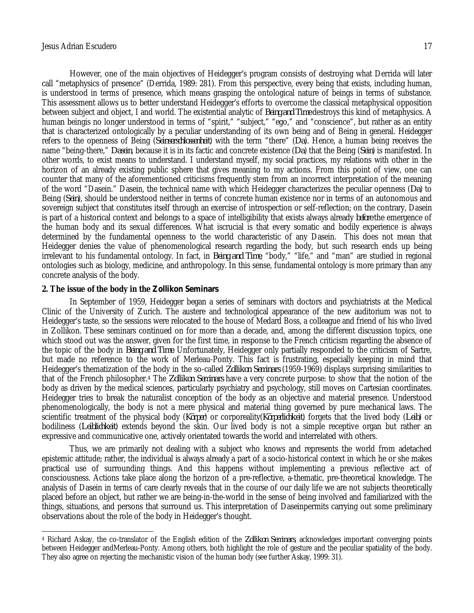However, one of the main objectives of Heidegger's program consists of destroying what Derrida will later call "metaphysics of presence" (Derrida, 1989: 281). From this perspective, every being that exists, including human, is understood in terms of presence, which means grasping the ontological nature of beings in terms of substance. This assessment allows us to better understand Heidegger's efforts to overcome the classical metaphysical opposition between subject and object, I and world. The existential analytic of *Being and Time* destroys this kind of metaphysics. A human beingis no longer understood in terms of "spirit," "subject," "ego," and "conscience", but rather as an entity that is characterized ontologically by a peculiar understanding of its own being and of Being in general. Heidegger refers to the openness of Being (*Seinserschlossenheit*) with the term "there" (*Da*). Hence, a human being receives the name "being-there," *Dasein*, because it is in its factic and concrete existence (*Da*) that the Being (*Sein*) is manifested. In other words, to exist means to understand. I understand myself, my social practices, my relations with other in the horizon of an already existing public sphere that gives meaning to my actions. From this point of view, one can counter that many of the aforementioned criticisms frequently stem from an incorrect interpretation of the meaning of the word "Dasein." Dasein, the technical name with which Heidegger characterizes the peculiar openness (*Da*) to Being (*Sein*), should be understood neither in terms of concrete human existence nor in terms of an autonomous and sovereign subject that constitutes itself through an exercise of introspection or self-reflection; on the contrary, Dasein is part of a historical context and belongs to a space of intelligibility that exists always already *before* the emergence of the human body and its sexual differences. What iscrucial is that every somatic and bodily experience is always determined by the fundamental openness to the world characteristic of any Dasein. This does not mean that Heidegger denies the value of phenomenological research regarding the body, but such research ends up being irrelevant to his fundamental ontology. In fact, in *Being and Time*, "body," "life," and "man" are studied in regional ontologies such as biology, medicine, and anthropology. In this sense, fundamental ontology is more primary than any concrete analysis of the body.

#### **2. The issue of the body in the** *Zollikon Seminars*

In September of 1959, Heidegger began a series of seminars with doctors and psychiatrists at the Medical Clinic of the University of Zurich. The austere and technological appearance of the new auditorium was not to Heidegger's taste, so the sessions were relocated to the house of Medard Boss, a colleague and friend of his who lived in Zollikon. These seminars continued on for more than a decade, and, among the different discussion topics, one which stood out was the answer, given for the first time, in response to the French criticism regarding the absence of the topic of the body in *Being and Time*. Unfortunately, Heidegger only partially responded to the criticism of Sartre, but made no reference to the work of Merleau-Ponty. This fact is frustrating, especially keeping in mind that Heidegger's thematization of the body in the so-called *Zollikon Seminars* (1959-1969) displays surprising similarities to that of the French philosopher.<sup>4</sup> The *Zollikon Seminars* have a very concrete purpose: to show that the notion of the body as driven by the medical sciences, particularly psychiatry and psychology, still moves on Cartesian coordinates. Heidegger tries to break the naturalist conception of the body as an objective and material presence. Understood phenomenologically, the body is not a mere physical and material thing governed by pure mechanical laws. The scientific treatment of the physical body (*Körper*) or corporeality(*Körperlichkeit*) forgets that the lived body (*Leib*) or bodiliness (*Leiblichkeit*) extends beyond the skin. Our lived body is not a simple receptive organ but rather an expressive and communicative one, actively orientated towards the world and interrelated with others.

Thus, we are primarily not dealing with a subject who knows and represents the world from adetached epistemic attitude; rather, the individual is always already a part of a socio-historical context in which he or she makes practical use of surrounding things. And this happens without implementing a previous reflective act of consciousness. Actions take place along the horizon of a pre-reflective, a-thematic, pre-theoretical knowledge. The analysis of Dasein in terms of care clearly reveals that in the course of our daily life we are not subjects theoretically placed before an object, but rather we are being-in-the-world in the sense of being involved and familiarized with the things, situations, and persons that surround us. This interpretation of Daseinpermits carrying out some preliminary observations about the role of the body in Heidegger's thought.

 $\overline{\phantom{a}}$ <sup>4</sup> Richard Askay, the co-translator of the English edition of the *Zollikon Seminars*, acknowledges important converging points between Heidegger andMerleau-Ponty. Among others, both highlight the role of gesture and the peculiar spatiality of the body. They also agree on rejecting the mechanistic vision of the human body (see further Askay, 1999: 31).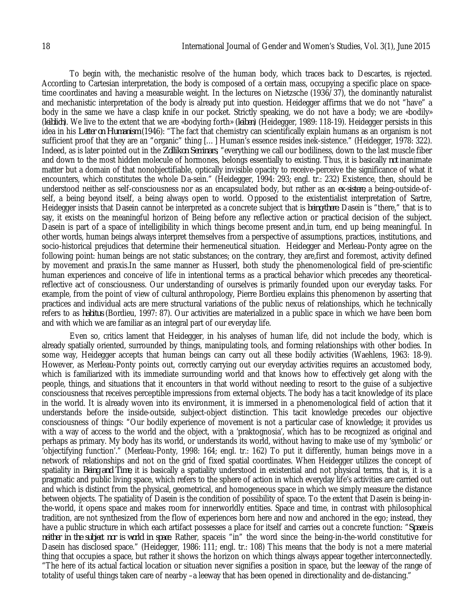To begin with, the mechanistic resolve of the human body, which traces back to Descartes, is rejected. According to Cartesian interpretation, the body is composed of a certain mass, occupying a specific place on spacetime coordinates and having a measurable weight. In the lectures on Nietzsche (1936/37), the dominantly naturalist and mechanistic interpretation of the body is already put into question. Heidegger affirms that we do not "have" a body in the same we have a clasp knife in our pocket. Strictly speaking, we do not have a body; we are «bodily» (*leiblich*). We live to the extent that we are «bodying forth» (*leiben*) (Heidegger, 1989: 118-19). Heidegger persists in this idea in his *Letter on Humanism* (1946): "The fact that chemistry can scientifically explain humans as an organism is not sufficient proof that they are an "organic" thing […] Human's essence resides inek-sistence." (Heidegger, 1978: 322). Indeed, as is later pointed out in the *Zollikon Seminars*, "everything we call our bodiliness, down to the last muscle fiber and down to the most hidden molecule of hormones, belongs essentially to existing. Thus, it is basically *not* inanimate matter but a domain of that nonobjectifiable, optically invisible opacity to receive-perceive the significance of what it encounters, which constitutes the whole Da-sein." (Heidegger, 1994: 293; engl. tr.: 232) Existence, then, should be understood neither as self-consciousness nor as an encapsulated body, but rather as an *ex-sistere*, a being-outside-ofself, a being beyond itself, a being always open to world. Opposed to the existentialist interpretation of Sartre, Heidegger insists that Dasein cannot be interpreted as a concrete subject that is *being-there*. Dasein is "there," that is to say, it exists on the meaningful horizon of Being before any reflective action or practical decision of the subject. Dasein is part of a space of intelligibility in which things become present and,in turn, end up being meaningful. In other words, human beings always interpret themselves from a perspective of assumptions, practices, institutions, and socio-historical prejudices that determine their hermeneutical situation. Heidegger and Merleau-Ponty agree on the following point: human beings are not static substances; on the contrary, they are,first and foremost, activity defined by movement and praxis.In the same manner as Husserl, both study the phenomenological field of pre-scientific human experiences and conceive of life in intentional terms as a practical behavior which precedes any theoreticalreflective act of consciousness. Our understanding of ourselves is primarily founded upon our everyday tasks. For example, from the point of view of cultural anthropology, Pierre Bordieu explains this phenomenon by asserting that practices and individual acts are mere structural variations of the public nexus of relationships, which he technically refers to as *habitus* (Bordieu, 1997: 87). Our activities are materialized in a public space in which we have been born and with which we are familiar as an integral part of our everyday life.

Even so, critics lament that Heidegger, in his analyses of human life, did not include the body, which is already spatially oriented, surrounded by things, manipulating tools, and forming relationships with other bodies. In some way, Heidegger accepts that human beings can carry out all these bodily activities (Waehlens, 1963: 18-9). However, as Merleau-Ponty points out, correctly carrying out our everyday activities requires an accustomed body, which is familiarized with its immediate surrounding world and that knows how to effectively get along with the people, things, and situations that it encounters in that world without needing to resort to the guise of a subjective consciousness that receives perceptible impressions from external objects. The body has a tacit knowledge of its place in the world. It is already woven into its environment, it is immersed in a phenomenological field of action that it understands before the inside-outside, subject-object distinction. This tacit knowledge precedes our objective consciousness of things: "Our bodily experience of movement is not a particular case of knowledge; it provides us with a way of access to the world and the object, with a 'praktognosia', which has to be recognized as original and perhaps as primary. My body has its world, or understands its world, without having to make use of my 'symbolic' or 'objectifying function'." (Merleau-Ponty, 1998: 164; engl. tr.: 162) To put it differently, human beings move in a network of relationships and not on the grid of fixed spatial coordinates. When Heidegger utilizes the concept of spatiality in *Being and Time*, it is basically a spatiality understood in existential and not physical terms, that is, it is a pragmatic and public living space, which refers to the sphere of action in which everyday life's activities are carried out and which is distinct from the physical, geometrical, and homogeneous space in which we simply measure the distance between objects. The spatiality of Dasein is the condition of possibility of space. To the extent that Dasein is being-inthe-world, it opens space and makes room for innerworldly entities. Space and time, in contrast with philosophical tradition, are not synthesized from the flow of experiences born here and now and anchored in the ego; instead, they have a public structure in which each artifact possesses a place for itself and carries out a concrete function: "*Space is neither in the subject nor is world in space*. Rather, spaceis "in" the word since the being-in-the-world constitutive for Dasein has disclosed space." (Heidegger, 1986: 111; engl. tr.: 108) This means that the body is not a mere material thing that occupies a space, but rather it shows the horizon on which things always appear together interconnectedly. "The here of its actual factical location or situation never signifies a position in space, but the leeway of the range of totality of useful things taken care of nearby –a leeway that has been opened in directionality and de-distancing."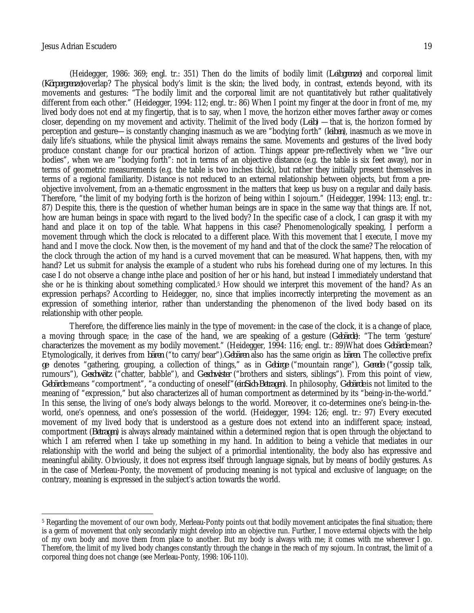(Heidegger, 1986: 369; engl. tr.: 351) Then do the limits of bodily limit (*Leibgrenze*) and corporeal limit (*Körpergrenze*)overlap? The physical body's limit is the skin; the lived body, in contrast, extends beyond, with its movements and gestures: "The bodily limit and the corporeal limit are not quantitatively but rather qualitatively different from each other." (Heidegger, 1994: 112; engl. tr.: 86) When I point my finger at the door in front of me, my lived body does not end at my fingertip, that is to say, when I move, the horizon either moves farther away or comes closer, depending on my movement and activity. Thelimit of the lived body (*Leib*) —that is, the horizon formed by perception and gesture—is constantly changing inasmuch as we are "bodying forth" (*leiben*), inasmuch as we move in daily life's situations, while the physical limit always remains the same. Movements and gestures of the lived body produce constant change for our practical horizon of action. Things appear pre-reflectively when we "live our bodies", when we are "bodying forth": not in terms of an objective distance (e.g. the table is six feet away), nor in terms of geometric measurements (e.g. the table is two inches thick), but rather they initially present themselves in terms of a regional familiarity. Distance is not reduced to an external relationship between objects, but from a preobjective involvement, from an a-thematic engrossment in the matters that keep us busy on a regular and daily basis. Therefore, "the limit of my bodying forth is the horizon of being within I sojourn." (Heidegger, 1994: 113; engl. tr.: 87) Despite this, there is the question of whether human beings are in space in the same way that things are. If not, how are human beings in space with regard to the lived body? In the specific case of a clock, I can grasp it with my hand and place it on top of the table. What happens in this case? Phenomenologically speaking, I perform a movement through which the clock is relocated to a different place. With this movement that I execute, I move my hand and I move the clock. Now then, is the movement of my hand and that of the clock the same? The relocation of the clock through the action of my hand is a curved movement that can be measured. What happens, then, with my hand? Let us submit for analysis the example of a student who rubs his forehead during one of my lectures. In this case I do not observe a change inthe place and position of her or his hand, but instead I immediately understand that she or he is thinking about something complicated.<sup>5</sup> How should we interpret this movement of the hand? As an expression perhaps? According to Heidegger, no, since that implies incorrectly interpreting the movement as an expression of something interior, rather than understanding the phenomenon of the lived body based on its relationship with other people.

Therefore, the difference lies mainly in the type of movement: in the case of the clock, it is a change of place, a moving through space; in the case of the hand, we are speaking of a gesture (*Gebärde*): "The term 'gesture' characterizes the movement as my bodily movement." (Heidegger, 1994: 116; engl. tr.: 89)What does *Gebärde* mean? Etymologically, it derives from *bären* ("to carry/bear").*Gebären* also has the same origin as *bären*. The collective prefix *ge*- denotes "gathering, grouping, a collection of things," as in *Gebirge* ("mountain range"), *Gerede* ("gossip talk, rumours"), *Geschwätz* ("chatter, babble"), and *Geschwister* ("brothers and sisters, siblings"). From this point of view, *Gebärde* means "comportment", "a conducting of oneself"*(einSich-Betragen*). In philosophy, *Gebärde* is not limited to the meaning of "expression," but also characterizes all of human comportment as determined by its "being-in-the-world." In this sense, the living of one's body always belongs to the world. Moreover, it co-determines one's being-in-theworld, one's openness, and one's possession of the world. (Heidegger, 1994: 126; engl. tr.: 97) Every executed movement of my lived body that is understood as a gesture does not extend into an indifferent space; instead, comportment (*Betragen*) is always already maintained within a determined region that is open through the objectand to which I am referred when I take up something in my hand. In addition to being a vehicle that mediates in our relationship with the world and being the subject of a primordial intentionality, the body also has expressive and meaningful ability. Obviously, it does not express itself through language signals, but by means of bodily gestures. As in the case of Merleau-Ponty, the movement of producing meaning is not typical and exclusive of language; on the contrary, meaning is expressed in the subject's action towards the world.

 $\overline{\phantom{a}}$ <sup>5</sup> Regarding the movement of our own body, Merleau-Ponty points out that bodily movement anticipates the final situation; there is a germ of movement that only secondarily might develop into an objective run. Further, I move external objects with the help of my own body and move them from place to another. But my body is always with me; it comes with me wherever I go. Therefore, the limit of my lived body changes constantly through the change in the reach of my sojourn. In contrast, the limit of a corporeal thing does not change (see Merleau-Ponty, 1998: 106-110).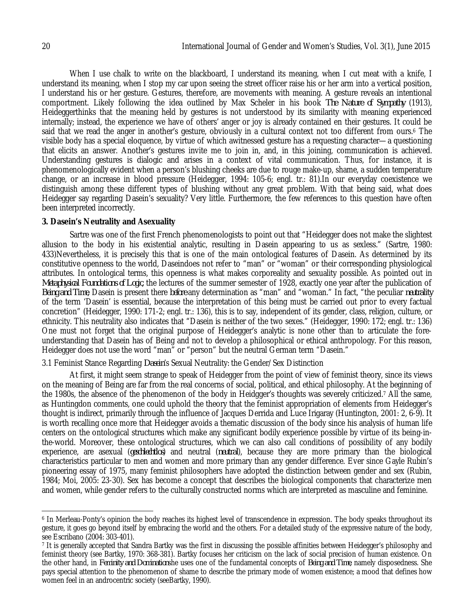When I use chalk to write on the blackboard, I understand its meaning, when I cut meat with a knife, I understand its meaning, when I stop my car upon seeing the street officer raise his or her arm into a vertical position, I understand his or her gesture. Gestures, therefore, are movements with meaning. A gesture reveals an intentional comportment. Likely following the idea outlined by Max Scheler in his book *The Nature of Sympathy* (1913), Heideggerthinks that the meaning held by gestures is not understood by its similarity with meaning experienced internally; instead, the experience we have of others' anger or joy is already contained en their gestures. It could be said that we read the anger in another's gesture, obviously in a cultural context not too different from ours.<sup>6</sup> The visible body has a special eloquence, by virtue of which awitnessed gesture has a requesting character—a questioning that elicits an answer. Another's gestures invite me to join in, and, in this joining, communication is achieved. Understanding gestures is dialogic and arises in a context of vital communication. Thus, for instance, it is phenomenologically evident when a person's blushing cheeks are due to rouge make-up, shame, a sudden temperature change, or an increase in blood pressure (Heidegger, 1994: 105-6; engl. tr.: 81).In our everyday coexistence we distinguish among these different types of blushing without any great problem. With that being said, what does Heidegger say regarding Dasein's sexuality? Very little. Furthermore, the few references to this question have often been interpreted incorrectly.

### **3. Dasein's Neutrality and Asexuality**

Sartre was one of the first French phenomenologists to point out that "Heidegger does not make the slightest allusion to the body in his existential analytic, resulting in Dasein appearing to us as sexless." (Sartre, 1980: 433)Nevertheless, it is precisely this that is one of the main ontological features of Dasein. As determined by its constitutive openness to the world, Daseindoes not refer to "man" or "woman" or their corresponding physiological attributes. In ontological terms, this openness is what makes corporeality and sexuality possible. As pointed out in *Metaphysical Foundations of Logic,* the lectures of the summer semester of 1928, exactly one year after the publication of *Being and Time*, Dasein is present there *before* any determination as "man" and "woman." In fact, "the peculiar *neutrality* of the term 'Dasein' is essential, because the interpretation of this being must be carried out prior to every factual concretion" (Heidegger, 1990: 171-2; engl. tr.: 136), this is to say, independent of its gender, class, religion, culture, or ethnicity. This neutrality also indicates that "Dasein is neither of the two sexes." (Heidegger, 1990: 172; engl. tr.: 136) One must not forget that the original purpose of Heidegger's analytic is none other than to articulate the foreunderstanding that Dasein has of Being and not to develop a philosophical or ethical anthropology. For this reason, Heidegger does not use the word "man" or "person" but the neutral German term "Dasein."

3.1 Feminist Stance Regarding *Dasein*'s Sexual Neutrality: the Gender/Sex Distinction

At first, it might seem strange to speak of Heidegger from the point of view of feminist theory, since its views on the meaning of Being are far from the real concerns of social, political, and ethical philosophy. At the beginning of the 1980s, the absence of the phenomenon of the body in Heidgger's thoughts was severely criticized.<sup>7</sup> All the same, as Huntingdon comments, one could uphold the theory that the feminist appropriation of elements from Heidegger's thought is indirect, primarily through the influence of Jacques Derrida and Luce Irigaray (Huntington, 2001: 2, 6-9). It is worth recalling once more that Heidegger avoids a thematic discussion of the body since his analysis of human life centers on the ontological structures which make any significant bodily experience possible by virtue of its being-inthe-world. Moreover, these ontological structures, which we can also call conditions of possibility of any bodily experience, are asexual (*geschlechtlos*) and neutral (*neutral*), because they are more primary than the biological characteristics particular to men and women and more primary than any gender difference. Ever since Gayle Rubin's pioneering essay of 1975, many feminist philosophers have adopted the distinction between gender and sex (Rubin, 1984; Moi, 2005: 23-30). Sex has become a concept that describes the biological components that characterize men and women, while gender refers to the culturally constructed norms which are interpreted as masculine and feminine.

 $\overline{a}$ <sup>6</sup> In Merleau-Ponty's opinion the body reaches its highest level of transcendence in expression. The body speaks throughout its gesture, it goes go beyond itself by embracing the world and the others. For a detailed study of the expressive nature of the body, see Escribano (2004: 303-401).

<sup>7</sup> It is generally accepted that Sandra Bartky was the first in discussing the possible affinities between Heidegger's philosophy and feminist theory (see Bartky, 1970: 368-381). Bartky focuses her criticism on the lack of social precision of human existence. On the other hand, in *Feminity and Domination*she uses one of the fundamental concepts of *Being and Time*, namely disposedness. She pays special attention to the phenomenon of shame to describe the primary mode of women existence; a mood that defines how women feel in an androcentric society (seeBartky, 1990).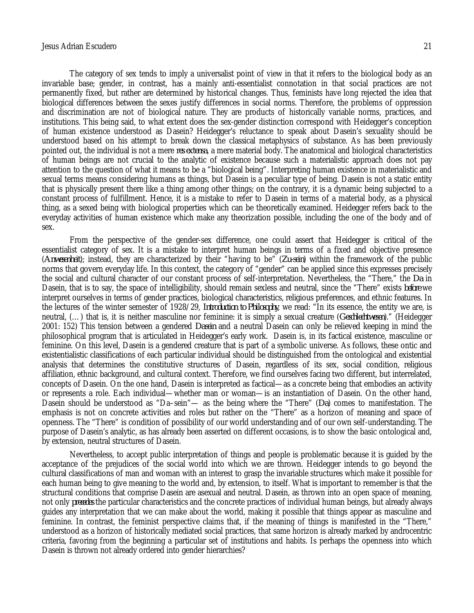The category of sex tends to imply a universalist point of view in that it refers to the biological body as an invariable base; gender, in contrast, has a mainly anti-essentialist connotation in that social practices are not permanently fixed, but rather are determined by historical changes. Thus, feminists have long rejected the idea that biological differences between the sexes justify differences in social norms. Therefore, the problems of oppression and discrimination are not of biological nature. They are products of historically variable norms, practices, and institutions. This being said, to what extent does the sex-gender distinction correspond with Heidegger's conception of human existence understood as Dasein? Heidegger's reluctance to speak about Dasein's sexuality should be understood based on his attempt to break down the classical metaphysics of substance. As has been previously pointed out, the individual is not a mere *res extensa*, a mere material body. The anatomical and biological characteristics of human beings are not crucial to the analytic of existence because such a materialistic approach does not pay attention to the question of what it means to be a "biological being". Interpreting human existence in materialistic and sexual terms means considering humans as things, but Dasein is a peculiar type of being. Dasein is not a static entity that is physically present there like a thing among other things; on the contrary, it is a dynamic being subjected to a constant process of fulfillment. Hence, it is a mistake to refer to Dasein in terms of a material body, as a physical thing, as a sexed being with biological properties which can be theoretically examined. Heidegger refers back to the everyday activities of human existence which make any theorization possible, including the one of the body and of sex.

From the perspective of the gender-sex difference, one could assert that Heidegger is critical of the essentialist category of sex. It is a mistake to interpret human beings in terms of a fixed and objective presence (*Anwesenheit*); instead, they are characterized by their "having to be" (*Zu-sein*) within the framework of the public norms that govern everyday life. In this context, the category of "gender" can be applied since this expresses precisely the social and cultural character of our constant process of self-interpretation. Nevertheless, the "There," the *Da* in Dasein, that is to say, the space of intelligibility, should remain sexless and neutral, since the "There" exists *before* we interpret ourselves in terms of gender practices, biological characteristics, religious preferences, and ethnic features. In the lectures of the winter semester of 1928/29, *Introduction to Philosophy*, we read: "In its essence, the entity we are, is neutral, (…) that is, it is neither masculine nor feminine: it is simply a sexual creature (*Geschlechtwesen*)." (Heidegger 2001: 152) This tension between a gendered *Dasein* and a neutral Dasein can only be relieved keeping in mind the philosophical program that is articulated in Heidegger's early work. Dasein is, in its factical existence, masculine or feminine. On this level, Dasein is a gendered creature that is part of a symbolic universe. As follows, these ontic and existentialistic classifications of each particular individual should be distinguished from the ontological and existential analysis that determines the constitutive structures of Dasein, regardless of its sex, social condition, religious affiliation, ethnic background, and cultural context. Therefore, we find ourselves facing two different, but interrelated, concepts of Dasein. On the one hand, Dasein is interpreted as factical—as a concrete being that embodies an activity or represents a role. Each individual—whether man or woman—is an instantiation of Dasein. On the other hand, Dasein should be understood as "Da–sein"— as the being where the "There" (*Da*) comes to manifestation. The emphasis is not on concrete activities and roles but rather on the "There" as a horizon of meaning and space of openness. The "There" is condition of possibility of our world understanding and of our own self-understanding. The purpose of Dasein's analytic, as has already been asserted on different occasions, is to show the basic ontological and, by extension, neutral structures of Dasein.

Nevertheless, to accept public interpretation of things and people is problematic because it is guided by the acceptance of the prejudices of the social world into which we are thrown. Heidegger intends to go beyond the cultural classifications of man and woman with an interest to grasp the invariable structures which make it possible for each human being to give meaning to the world and, by extension, to itself. What is important to remember is that the structural conditions that comprise Dasein are asexual and neutral. Dasein, as thrown into an open space of meaning, not only *precedes* the particular characteristics and the concrete practices of individual human beings, but already always guides any interpretation that we can make about the world, making it possible that things appear as masculine and feminine. In contrast, the feminist perspective claims that, if the meaning of things is manifested in the "There," understood as a horizon of historically mediated social practices, that same horizon is already marked by androcentric criteria, favoring from the beginning a particular set of institutions and habits. Is perhaps the openness into which Dasein is thrown not already ordered into gender hierarchies?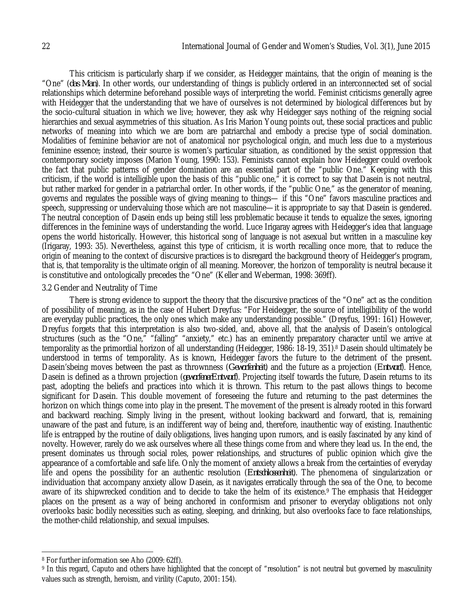This criticism is particularly sharp if we consider, as Heidegger maintains, that the origin of meaning is the "One" (*das Man*). In other words, our understanding of things is publicly ordered in an interconnected set of social relationships which determine beforehand possible ways of interpreting the world. Feminist criticisms generally agree with Heidegger that the understanding that we have of ourselves is not determined by biological differences but by the socio-cultural situation in which we live; however, they ask why Heidegger says nothing of the reigning social hierarchies and sexual asymmetries of this situation. As Iris Marion Young points out, these social practices and public networks of meaning into which we are born are patriarchal and embody a precise type of social domination. Modalities of feminine behavior are not of anatomical nor psychological origin, and much less due to a mysterious feminine essence; instead, their source is women's particular situation, as conditioned by the sexist oppression that contemporary society imposes (Marion Young, 1990: 153). Feminists cannot explain how Heidegger could overlook the fact that public patterns of gender domination are an essential part of the "public One." Keeping with this criticism, if the world is intelligible upon the basis of this "public one," it is correct to say that Dasein is not neutral, but rather marked for gender in a patriarchal order. In other words, if the "public One," as the generator of meaning, governs and regulates the possible ways of giving meaning to things— if this "One" favors masculine practices and speech, suppressing or undervaluing those which are not masculine—it is appropriate to say that Dasein is gendered. The neutral conception of Dasein ends up being still less problematic because it tends to equalize the sexes, ignoring differences in the feminine ways of understanding the world. Luce Irigaray agrees with Heidegger's idea that language opens the world historically. However, this historical song of language is not asexual but written in a masculine key (Irigaray, 1993: 35). Nevertheless, against this type of criticism, it is worth recalling once more, that to reduce the origin of meaning to the context of discursive practices is to disregard the background theory of Heidegger's program, that is, that temporality is the ultimate origin of all meaning. Moreover, the horizon of temporality is neutral because it is constitutive and ontologically precedes the "One" (Keller and Weberman, 1998: 369ff).

#### 3.2 Gender and Neutrality of Time

There is strong evidence to support the theory that the discursive practices of the "One" act as the condition of possibility of meaning, as in the case of Hubert Dreyfus: "For Heidegger, the source of intelligibility of the world are everyday public practices, the only ones which make any understanding possible." (Dreyfus, 1991: 161) However, Dreyfus forgets that this interpretation is also two-sided, and, above all, that the analysis of Dasein's ontological structures (such as the "One," "falling" "anxiety," etc.) has an eminently preparatory character until we arrive at temporality as the primordial horizon of all understanding (Heidegger, 1986: 18-19, 351).<sup>8</sup> Dasein should ultimately be understood in terms of temporality. As is known, Heidegger favors the future to the detriment of the present. Dasein'sbeing moves between the past as thrownness (*Geworfenheit*) and the future as a projection (*Entwurf*). Hence, Dasein is defined as a thrown projection (*geworfenerEntwurf*). Projecting itself towards the future, Dasein returns to its past, adopting the beliefs and practices into which it is thrown. This return to the past allows things to become significant for Dasein. This double movement of foreseeing the future and returning to the past determines the horizon on which things come into play in the present. The movement of the present is already rooted in this forward and backward reaching. Simply living in the present, without looking backward and forward, that is, remaining unaware of the past and future, is an indifferent way of being and, therefore, inauthentic way of existing. Inauthentic life is entrapped by the routine of daily obligations, lives hanging upon rumors, and is easily fascinated by any kind of novelty. However, rarely do we ask ourselves where all these things come from and where they lead us. In the end, the present dominates us through social roles, power relationships, and structures of public opinion which give the appearance of a comfortable and safe life. Only the moment of anxiety allows a break from the certainties of everyday life and opens the possibility for an authentic resolution (*Entschlossenheit*). The phenomena of singularization or individuation that accompany anxiety allow Dasein, as it navigates erratically through the sea of the One, to become aware of its shipwrecked condition and to decide to take the helm of its existence.<sup>9</sup> The emphasis that Heidegger places on the present as a way of being anchored in conformism and prisoner to everyday obligations not only overlooks basic bodily necessities such as eating, sleeping, and drinking, but also overlooks face to face relationships, the mother-child relationship, and sexual impulses.

 $\overline{\phantom{a}}$ 

<sup>8</sup> For further information see Aho (2009: 62ff).

<sup>9</sup> In this regard, Caputo and others have highlighted that the concept of "resolution" is not neutral but governed by masculinity values such as strength, heroism, and virility (Caputo, 2001: 154).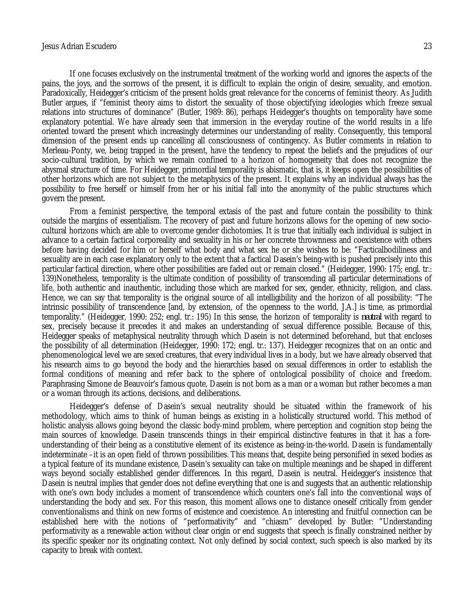If one focuses exclusively on the instrumental treatment of the working world and ignores the aspects of the pains, the joys, and the sorrows of the present, it is difficult to explain the origin of desire, sexuality, and emotion. Paradoxically, Heidegger's criticism of the present holds great relevance for the concerns of feminist theory. As Judith Butler argues, if "feminist theory aims to distort the sexuality of those objectifying ideologies which freeze sexual relations into structures of dominance" (Butler, 1989: 86), perhaps Heidegger's thoughts on temporality have some explanatory potential. We have already seen that immersion in the everyday routine of the world results in a life oriented toward the present which increasingly determines our understanding of reality. Consequently, this temporal dimension of the present ends up cancelling all consciousness of contingency. As Butler comments in relation to Merleau-Ponty, we, being trapped in the present, have the tendency to repeat the beliefs and the prejudices of our socio-cultural tradition, by which we remain confined to a horizon of homogeneity that does not recognize the abysmal structure of time. For Heidegger, primordial temporality is abismatic, that is, it keeps open the possibilities of other horizons which are not subject to the metaphysics of the present. It explains why an individual always has the possibility to free herself or himself from her or his initial fall into the anonymity of the public structures which govern the present.

From a feminist perspective, the temporal extasis of the past and future contain the possibility to think outside the margins of essentialism. The recovery of past and future horizons allows for the opening of new sociocultural horizons which are able to overcome gender dichotomies. It is true that initially each individual is subject in advance to a certain factical corporeality and sexuality in his or her concrete thrownness and coexistence with others before having decided for him or herself what body and what sex he or she wishes to be: "Facticalbodiliness and sexuality are in each case explanatory only to the extent that a factical Dasein's being-with is pushed precisely into this particular factical direction, where other possibilities are faded out or remain closed." (Heidegger, 1990: 175; engl. tr.: 139)Nonetheless, temporality is the ultimate condition of possibility of transcending all particular determinations of life, both authentic and inauthentic, including those which are marked for sex, gender, ethnicity, religion, and class. Hence, we can say that temporality is the original source of all intelligibility and the horizon of all possibility: "The intrinsic possibility of transcendence [and, by extension, of the openness to the world, J.A.] is time, as primordial temporality." (Heidegger, 1990: 252; engl. tr.: 195) In this sense, the horizon of temporality is *neutral* with regard to sex, precisely because it precedes it and makes an understanding of sexual difference possible. Because of this, Heidegger speaks of metaphysical neutrality through which Dasein is not determined beforehand, but that encloses the possibility of all determination (Heidegger, 1990: 172; engl. tr.: 137). Heidegger recognizes that on an ontic and phenomenological level we are sexed creatures, that every individual lives in a body, but we have already observed that his research aims to go beyond the body and the hierarchies based on sexual differences in order to establish the formal conditions of meaning and refer back to the sphere of ontological possibility of choice and freedom. Paraphrasing Simone de Beauvoir's famous quote, Dasein is not born as a man or a woman but rather becomes a man or a woman through its actions, decisions, and deliberations.

Heidegger's defense of Dasein's sexual neutrality should be situated within the framework of his methodology, which aims to think of human beings as existing in a holistically structured world. This method of holistic analysis allows going beyond the classic body-mind problem, where perception and cognition stop being the main sources of knowledge. Dasein transcends things in their empirical distinctive features in that it has a foreunderstanding of their being as a constitutive element of its existence as being-in-the-world. Dasein is fundamentally indeterminate –it is an open field of thrown possibilities. This means that, despite being personified in sexed bodies as a typical feature of its mundane existence, Dasein's sexuality can take on multiple meanings and be shaped in different ways beyond socially established gender differences. In this regard, Dasein is neutral. Heidegger's insistence that Dasein is neutral implies that gender does not define everything that one is and suggests that an authentic relationship with one's own body includes a moment of transcendence which counters one's fall into the conventional ways of understanding the body and sex. For this reason, this moment allows one to distance oneself critically from gender conventionalisms and think on new forms of existence and coexistence. An interesting and fruitful connection can be established here with the notions of "performativity" and "chiasm" developed by Butler: "Understanding performativity as a renewable action without clear origin or end suggests that speech is finally constrained neither by its specific speaker nor its originating context. Not only defined by social context, such speech is also marked by its capacity to break with context.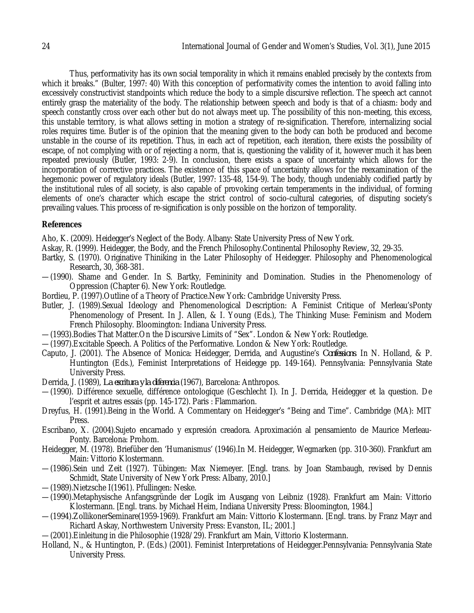Thus, performativity has its own social temporality in which it remains enabled precisely by the contexts from which it breaks." (Bulter, 1997: 40) With this conception of performativity comes the intention to avoid falling into excessively constructivist standpoints which reduce the body to a simple discursive reflection. The speech act cannot entirely grasp the materiality of the body. The relationship between speech and body is that of a chiasm: body and speech constantly cross over each other but do not always meet up. The possibility of this non-meeting, this excess, this unstable territory, is what allows setting in motion a strategy of re-signification. Therefore, internalizing social roles requires time. Butler is of the opinion that the meaning given to the body can both be produced and become unstable in the course of its repetition. Thus, in each act of repetition, each iteration, there exists the possibility of escape, of not complying with or of rejecting a norm, that is, questioning the validity of it, however much it has been repeated previously (Butler, 1993: 2-9). In conclusion, there exists a space of uncertainty which allows for the incorporation of corrective practices. The existence of this space of uncertainty allows for the reexamination of the hegemonic power of regulatory ideals (Butler, 1997: 135-48, 154-9). The body, though undeniably codified partly by the institutional rules of all society, is also capable of provoking certain temperaments in the individual, of forming elements of one's character which escape the strict control of socio-cultural categories, of disputing society's prevailing values. This process of re-signification is only possible on the horizon of temporality.

### **References**

Aho, K. (2009). Heidegger's Neglect of the Body. Albany: State University Press of New York.

Askay, R. (1999). Heidegger, the Body, and the French Philosophy.Continental Philosophy Review*,* 32, 29-35.

- Bartky, S. (1970). Originative Thiniking in the Later Philosophy of Heidegger. Philosophy and Phenomenological Research*,* 30, 368-381.
- —(1990). Shame and Gender. In S. Bartky, Femininity and Domination. Studies in the Phenomenology of Oppression (Chapter 6). New York: Routledge.
- Bordieu, P. (1997).Outline of a Theory of Practice.New York: Cambridge University Press.
- Butler, J. (1989).Sexual Ideology and Phenomenological Description: A Feminist Critique of Merleau'sPonty Phenomenology of Present. In J. Allen, & I. Young (Eds.), The Thinking Muse: Feminism and Modern French Philosophy. Bloomington: Indiana University Press.
- —(1993).Bodies That Matter.On the Discursive Limits of "Sex". London & New York: Routledge.
- —(1997).Excitable Speech. A Politics of the Performative. London & New York: Routledge.
- Caputo, J. (2001). The Absence of Monica: Heidegger, Derrida, and Augustine's *Confessions*. In N. Holland, & P. Huntington (Eds.), Feminist Interpretations of Heidegge pp. 149-164). Pennsylvania: Pennsylvania State University Press.
- Derrida, J. (1989), *La escritura y la diferencia* (1967), Barcelona: Anthropos.
- —(1990). Différence sexuelle, différence ontologique (Geschlecht I). In J. Derrida, Heidegger et la question. De l'esprit et autres essais (pp. 145-172). Paris : Flammarion.
- Dreyfus, H. (1991).Being in the World. A Commentary on Heidegger's "Being and Time". Cambridge (MA): MIT Press.
- Escribano, X. (2004).Sujeto encarnado y expresión creadora. Aproximación al pensamiento de Maurice Merleau-Ponty. Barcelona: Prohom.
- Heidegger, M. (1978). Briefüber den 'Humanismus' (1946).In M. Heidegger, Wegmarken (pp. 310-360). Frankfurt am Main: Vittorio Klostermann.
- —(1986).Sein und Zeit (1927). Tübingen: Max Niemeyer. [Engl. trans. by Joan Stambaugh, revised by Dennis Schmidt, State University of New York Press: Albany, 2010.]
- —(1989).Nietzsche I(1961). Pfullingen: Neske.
- —(1990).Metaphysische Anfangsgründe der Logik im Ausgang von Leibniz (1928). Frankfurt am Main: Vittorio Klostermann. [Engl. trans. by Michael Heim, Indiana University Press: Bloomington, 1984.]
- —(1994).ZollikonerSeminare(1959-1969). Frankfurt am Main: Vittorio Klostermann. [Engl. trans. by Franz Mayr and Richard Askay, Northwestern University Press: Evanston, IL; 2001.]
- —(2001).Einleitung in die Philosophie (1928/29). Frankfurt am Main, Vittorio Klostermann.
- Holland, N., & Huntington, P. (Eds.) (2001). Feminist Interpretations of Heidegger.Pennsylvania: Pennsylvania State University Press.